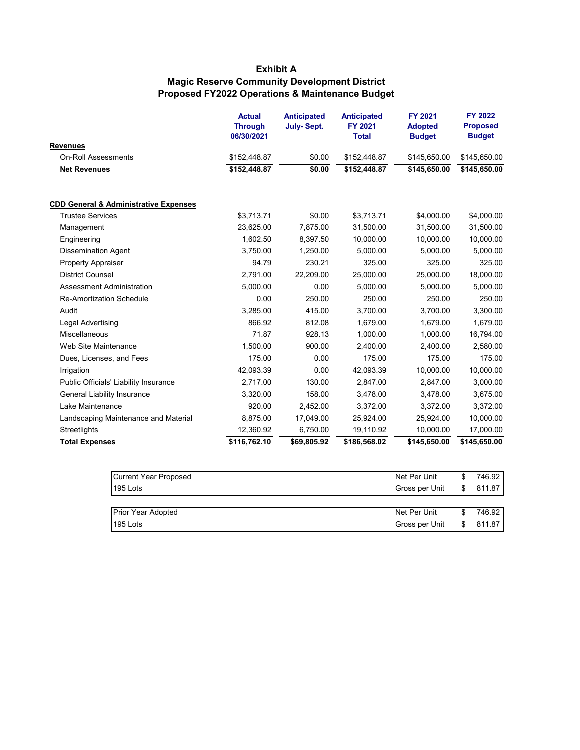## **Exhibit A Magic Reserve Community Development District Proposed FY2022 Operations & Maintenance Budget**

|                                                  | <b>Actual</b><br><b>Through</b><br>06/30/2021 | <b>Anticipated</b><br><b>July-Sept.</b> | <b>Anticipated</b><br>FY 2021<br><b>Total</b> | FY 2021<br><b>Adopted</b><br><b>Budget</b> | <b>FY 2022</b><br><b>Proposed</b><br><b>Budget</b> |
|--------------------------------------------------|-----------------------------------------------|-----------------------------------------|-----------------------------------------------|--------------------------------------------|----------------------------------------------------|
| <b>Revenues</b>                                  |                                               |                                         |                                               |                                            |                                                    |
| <b>On-Roll Assessments</b>                       | \$152,448.87                                  | \$0.00                                  | \$152,448.87                                  | \$145,650.00                               | \$145,650.00                                       |
| <b>Net Revenues</b>                              | \$152,448.87                                  | \$0.00                                  | \$152,448.87                                  | \$145,650.00                               | \$145,650.00                                       |
| <b>CDD General &amp; Administrative Expenses</b> |                                               |                                         |                                               |                                            |                                                    |
| <b>Trustee Services</b>                          | \$3,713.71                                    | \$0.00                                  | \$3,713.71                                    | \$4,000.00                                 | \$4,000.00                                         |
| Management                                       | 23,625.00                                     | 7,875.00                                | 31,500.00                                     | 31,500.00                                  | 31,500.00                                          |
| Engineering                                      | 1,602.50                                      | 8,397.50                                | 10,000.00                                     | 10,000.00                                  | 10,000.00                                          |
| <b>Dissemination Agent</b>                       | 3,750.00                                      | 1,250.00                                | 5,000.00                                      | 5,000.00                                   | 5,000.00                                           |
| <b>Property Appraiser</b>                        | 94.79                                         | 230.21                                  | 325.00                                        | 325.00                                     | 325.00                                             |
| <b>District Counsel</b>                          | 2,791.00                                      | 22,209.00                               | 25,000.00                                     | 25,000.00                                  | 18,000.00                                          |
| <b>Assessment Administration</b>                 | 5,000.00                                      | 0.00                                    | 5,000.00                                      | 5,000.00                                   | 5,000.00                                           |
| <b>Re-Amortization Schedule</b>                  | 0.00                                          | 250.00                                  | 250.00                                        | 250.00                                     | 250.00                                             |
| Audit                                            | 3,285.00                                      | 415.00                                  | 3.700.00                                      | 3.700.00                                   | 3,300.00                                           |
| Legal Advertising                                | 866.92                                        | 812.08                                  | 1,679.00                                      | 1,679.00                                   | 1,679.00                                           |
| Miscellaneous                                    | 71.87                                         | 928.13                                  | 1,000.00                                      | 1,000.00                                   | 16,794.00                                          |
| Web Site Maintenance                             | 1,500.00                                      | 900.00                                  | 2,400.00                                      | 2,400.00                                   | 2,580.00                                           |
| Dues, Licenses, and Fees                         | 175.00                                        | 0.00                                    | 175.00                                        | 175.00                                     | 175.00                                             |
| Irrigation                                       | 42,093.39                                     | 0.00                                    | 42,093.39                                     | 10,000.00                                  | 10,000.00                                          |
| Public Officials' Liability Insurance            | 2,717.00                                      | 130.00                                  | 2,847.00                                      | 2,847.00                                   | 3,000.00                                           |
| General Liability Insurance                      | 3,320.00                                      | 158.00                                  | 3,478.00                                      | 3,478.00                                   | 3,675.00                                           |
| Lake Maintenance                                 | 920.00                                        | 2,452.00                                | 3,372.00                                      | 3,372.00                                   | 3,372.00                                           |
| Landscaping Maintenance and Material             | 8,875.00                                      | 17,049.00                               | 25,924.00                                     | 25,924.00                                  | 10,000.00                                          |
| Streetlights                                     | 12,360.92                                     | 6,750.00                                | 19,110.92                                     | 10,000.00                                  | 17,000.00                                          |
| <b>Total Expenses</b>                            | \$116,762.10                                  | \$69,805.92                             | \$186,568.02                                  | \$145,650.00                               | \$145,650.00                                       |

| <b>Current Year Proposed</b> | Net Per Unit   | 746.92 |
|------------------------------|----------------|--------|
|                              |                |        |
| 195 Lots                     | Gross per Unit | 811.87 |
|                              |                |        |
|                              |                |        |
| <b>Prior Year Adopted</b>    | Net Per Unit   | 746.92 |
|                              |                |        |
| 195 Lots                     | Gross per Unit | 811.87 |
|                              |                |        |